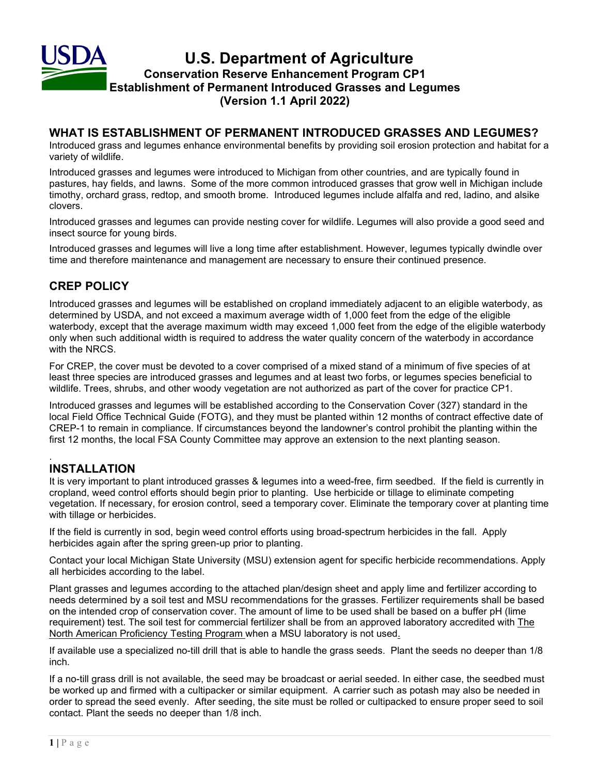

#### **WHAT IS ESTABLISHMENT OF PERMANENT INTRODUCED GRASSES AND LEGUMES?**

Introduced grass and legumes enhance environmental benefits by providing soil erosion protection and habitat for a variety of wildlife.

Introduced grasses and legumes were introduced to Michigan from other countries, and are typically found in pastures, hay fields, and lawns. Some of the more common introduced grasses that grow well in Michigan include timothy, orchard grass, redtop, and smooth brome. Introduced legumes include alfalfa and red, ladino, and alsike clovers.

Introduced grasses and legumes can provide nesting cover for wildlife. Legumes will also provide a good seed and insect source for young birds.

Introduced grasses and legumes will live a long time after establishment. However, legumes typically dwindle over time and therefore maintenance and management are necessary to ensure their continued presence.

# **CREP POLICY**

Introduced grasses and legumes will be established on cropland immediately adjacent to an eligible waterbody, as determined by USDA, and not exceed a maximum average width of 1,000 feet from the edge of the eligible waterbody, except that the average maximum width may exceed 1,000 feet from the edge of the eligible waterbody only when such additional width is required to address the water quality concern of the waterbody in accordance with the NRCS.

For CREP, the cover must be devoted to a cover comprised of a mixed stand of a minimum of five species of at least three species are introduced grasses and legumes and at least two forbs, or legumes species beneficial to wildlife. Trees, shrubs, and other woody vegetation are not authorized as part of the cover for practice CP1.

Introduced grasses and legumes will be established according to the Conservation Cover (327) standard in the local Field Office Technical Guide (FOTG), and they must be planted within 12 months of contract effective date of CREP-1 to remain in compliance. If circumstances beyond the landowner's control prohibit the planting within the first 12 months, the local FSA County Committee may approve an extension to the next planting season.

#### . **INSTALLATION**

It is very important to plant introduced grasses & legumes into a weed-free, firm seedbed. If the field is currently in cropland, weed control efforts should begin prior to planting. Use herbicide or tillage to eliminate competing vegetation. If necessary, for erosion control, seed a temporary cover. Eliminate the temporary cover at planting time with tillage or herbicides.

If the field is currently in sod, begin weed control efforts using broad-spectrum herbicides in the fall. Apply herbicides again after the spring green-up prior to planting.

Contact your local Michigan State University (MSU) extension agent for specific herbicide recommendations. Apply all herbicides according to the label.

Plant grasses and legumes according to the attached plan/design sheet and apply lime and fertilizer according to needs determined by a soil test and MSU recommendations for the grasses. Fertilizer requirements shall be based on the intended crop of conservation cover. The amount of lime to be used shall be based on a buffer pH (lime requirement) test. The soil test for commercial fertilizer shall be from an approved laboratory accredited with The North American Proficiency Testing Program when a MSU laboratory is not used.

If available use a specialized no-till drill that is able to handle the grass seeds. Plant the seeds no deeper than 1/8 inch.

If a no-till grass drill is not available, the seed may be broadcast or aerial seeded. In either case, the seedbed must be worked up and firmed with a cultipacker or similar equipment. A carrier such as potash may also be needed in order to spread the seed evenly. After seeding, the site must be rolled or cultipacked to ensure proper seed to soil contact. Plant the seeds no deeper than 1/8 inch.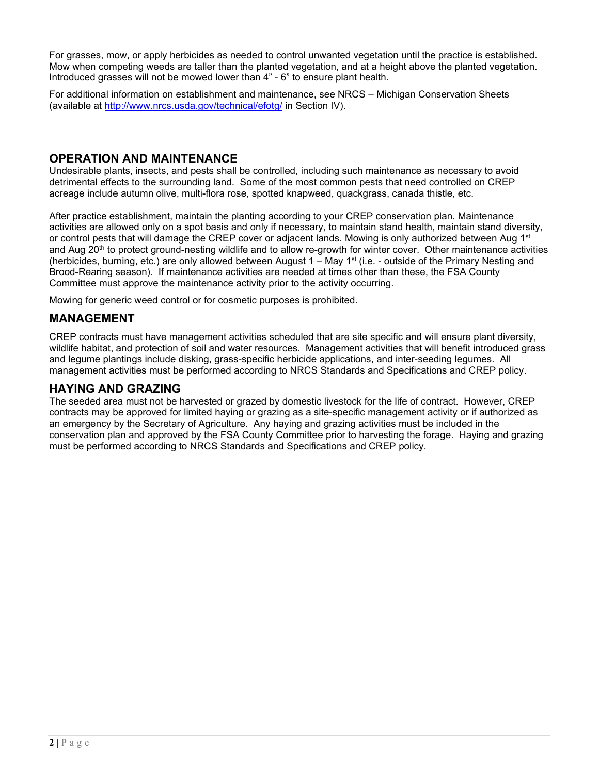For grasses, mow, or apply herbicides as needed to control unwanted vegetation until the practice is established. Mow when competing weeds are taller than the planted vegetation, and at a height above the planted vegetation. Introduced grasses will not be mowed lower than 4" - 6" to ensure plant health.

For additional information on establishment and maintenance, see NRCS – Michigan Conservation Sheets (available at [http://www.nrcs.usda.gov/t](http://www.nrcs.usda.gov/)echnical/efotg/ in Section IV).

### **OPERATION AND MAINTENANCE**

Undesirable plants, insects, and pests shall be controlled, including such maintenance as necessary to avoid detrimental effects to the surrounding land. Some of the most common pests that need controlled on CREP acreage include autumn olive, multi-flora rose, spotted knapweed, quackgrass, canada thistle, etc.

After practice establishment, maintain the planting according to your CREP conservation plan. Maintenance activities are allowed only on a spot basis and only if necessary, to maintain stand health, maintain stand diversity, or control pests that will damage the CREP cover or adjacent lands. Mowing is only authorized between Aug 1<sup>st</sup> and Aug 20<sup>th</sup> to protect ground-nesting wildlife and to allow re-growth for winter cover. Other maintenance activities (herbicides, burning, etc.) are only allowed between August  $1 -$  May  $1<sup>st</sup>$  (i.e. - outside of the Primary Nesting and Brood-Rearing season). If maintenance activities are needed at times other than these, the FSA County Committee must approve the maintenance activity prior to the activity occurring.

Mowing for generic weed control or for cosmetic purposes is prohibited.

# **MANAGEMENT**

CREP contracts must have management activities scheduled that are site specific and will ensure plant diversity, wildlife habitat, and protection of soil and water resources. Management activities that will benefit introduced grass and legume plantings include disking, grass-specific herbicide applications, and inter-seeding legumes. All management activities must be performed according to NRCS Standards and Specifications and CREP policy.

### **HAYING AND GRAZING**

The seeded area must not be harvested or grazed by domestic livestock for the life of contract. However, CREP contracts may be approved for limited haying or grazing as a site-specific management activity or if authorized as an emergency by the Secretary of Agriculture. Any haying and grazing activities must be included in the conservation plan and approved by the FSA County Committee prior to harvesting the forage. Haying and grazing must be performed according to NRCS Standards and Specifications and CREP policy.